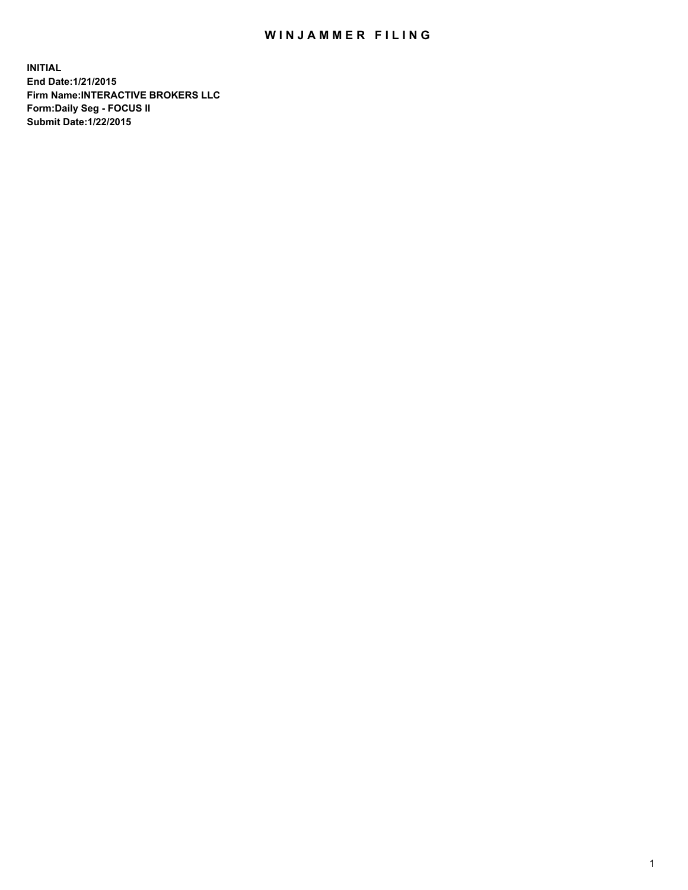## WIN JAMMER FILING

**INITIAL End Date:1/21/2015 Firm Name:INTERACTIVE BROKERS LLC Form:Daily Seg - FOCUS II Submit Date:1/22/2015**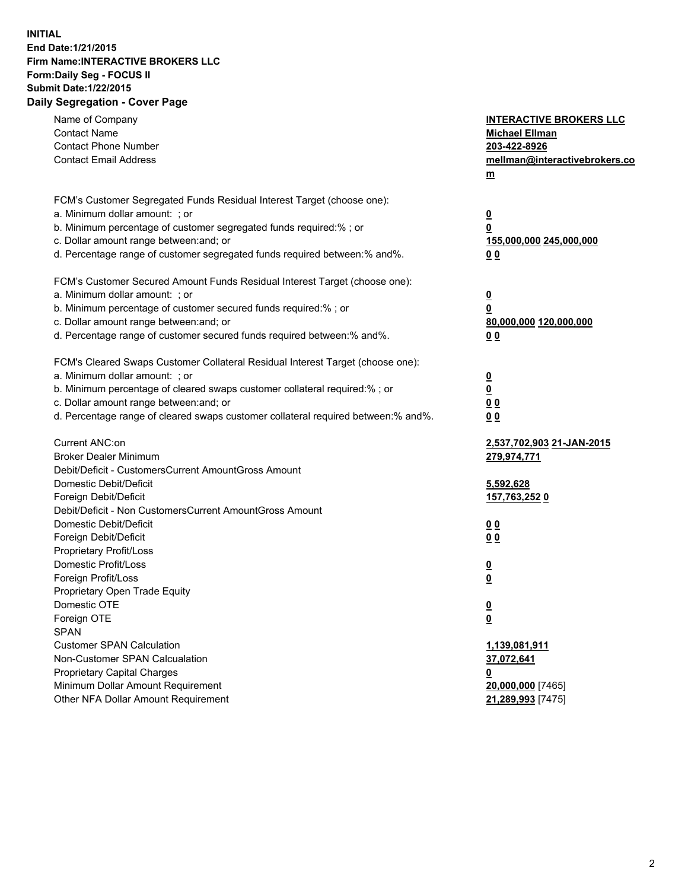## **INITIAL End Date:1/21/2015 Firm Name:INTERACTIVE BROKERS LLC Form:Daily Seg - FOCUS II Submit Date:1/22/2015 Daily Segregation - Cover Page**

| Name of Company<br><b>Contact Name</b><br><b>Contact Phone Number</b><br><b>Contact Email Address</b>                                                                                                                                                                                                                          | <b>INTERACTIVE BROKERS LLC</b><br><b>Michael Ellman</b><br>203-422-8926<br>mellman@interactivebrokers.co<br>m |
|--------------------------------------------------------------------------------------------------------------------------------------------------------------------------------------------------------------------------------------------------------------------------------------------------------------------------------|---------------------------------------------------------------------------------------------------------------|
| FCM's Customer Segregated Funds Residual Interest Target (choose one):<br>a. Minimum dollar amount: ; or<br>b. Minimum percentage of customer segregated funds required:% ; or<br>c. Dollar amount range between: and; or<br>d. Percentage range of customer segregated funds required between:% and%.                         | $\overline{\mathbf{0}}$<br>0<br>155,000,000 245,000,000<br>00                                                 |
| FCM's Customer Secured Amount Funds Residual Interest Target (choose one):<br>a. Minimum dollar amount: ; or<br>b. Minimum percentage of customer secured funds required:% ; or<br>c. Dollar amount range between: and; or<br>d. Percentage range of customer secured funds required between:% and%.                           | $\overline{\mathbf{0}}$<br>0<br>80,000,000 120,000,000<br>0 <sub>0</sub>                                      |
| FCM's Cleared Swaps Customer Collateral Residual Interest Target (choose one):<br>a. Minimum dollar amount: ; or<br>b. Minimum percentage of cleared swaps customer collateral required:% ; or<br>c. Dollar amount range between: and; or<br>d. Percentage range of cleared swaps customer collateral required between:% and%. | $\overline{\mathbf{0}}$<br><u>0</u><br>0 <sub>0</sub><br>0 <sub>0</sub>                                       |
| Current ANC:on<br><b>Broker Dealer Minimum</b><br>Debit/Deficit - CustomersCurrent AmountGross Amount<br>Domestic Debit/Deficit<br>Foreign Debit/Deficit                                                                                                                                                                       | 2,537,702,903 21-JAN-2015<br>279,974,771<br>5,592,628<br>157,763,252 0                                        |
| Debit/Deficit - Non CustomersCurrent AmountGross Amount<br>Domestic Debit/Deficit<br>Foreign Debit/Deficit<br>Proprietary Profit/Loss<br>Domestic Profit/Loss<br>Foreign Profit/Loss                                                                                                                                           | 0 <sub>0</sub><br>0 <sub>0</sub><br>$\overline{\mathbf{0}}$<br>$\overline{\mathbf{0}}$                        |
| Proprietary Open Trade Equity<br>Domestic OTE<br>Foreign OTE<br><b>SPAN</b><br><b>Customer SPAN Calculation</b>                                                                                                                                                                                                                | $\overline{\mathbf{0}}$<br><u>0</u><br>1,139,081,911                                                          |
| Non-Customer SPAN Calcualation<br><b>Proprietary Capital Charges</b><br>Minimum Dollar Amount Requirement<br>Other NFA Dollar Amount Requirement                                                                                                                                                                               | 37,072,641<br><u>0</u><br>20,000,000 [7465]<br>21,289,993 [7475]                                              |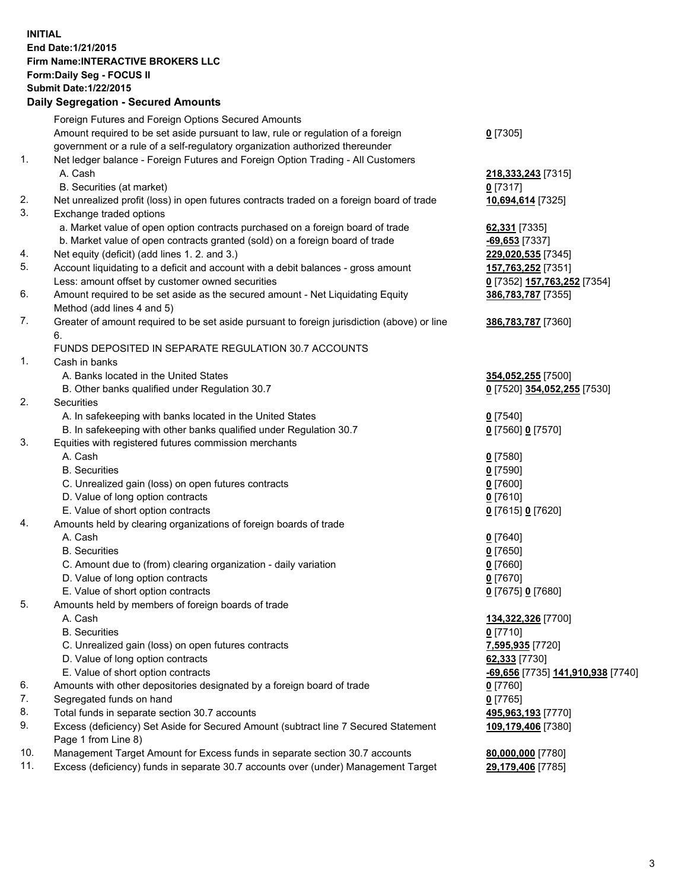## **INITIAL End Date:1/21/2015 Firm Name:INTERACTIVE BROKERS LLC Form:Daily Seg - FOCUS II Submit Date:1/22/2015 Daily Segregation - Secured Amounts**

|     | Daily Jegiegation - Jeculed Aniounts                                                                       |                                          |
|-----|------------------------------------------------------------------------------------------------------------|------------------------------------------|
|     | Foreign Futures and Foreign Options Secured Amounts                                                        |                                          |
|     | Amount required to be set aside pursuant to law, rule or regulation of a foreign                           | $0$ [7305]                               |
|     | government or a rule of a self-regulatory organization authorized thereunder                               |                                          |
| 1.  | Net ledger balance - Foreign Futures and Foreign Option Trading - All Customers                            |                                          |
|     | A. Cash                                                                                                    | 218,333,243 [7315]                       |
|     | B. Securities (at market)                                                                                  | $0$ [7317]                               |
| 2.  | Net unrealized profit (loss) in open futures contracts traded on a foreign board of trade                  | 10,694,614 [7325]                        |
| 3.  | Exchange traded options                                                                                    |                                          |
|     | a. Market value of open option contracts purchased on a foreign board of trade                             | 62,331 [7335]                            |
|     | b. Market value of open contracts granted (sold) on a foreign board of trade                               | $-69,653$ [7337]                         |
| 4.  | Net equity (deficit) (add lines 1.2. and 3.)                                                               | 229,020,535 [7345]                       |
| 5.  | Account liquidating to a deficit and account with a debit balances - gross amount                          | 157,763,252 [7351]                       |
|     | Less: amount offset by customer owned securities                                                           | 0 [7352] 157,763,252 [7354]              |
| 6.  | Amount required to be set aside as the secured amount - Net Liquidating Equity                             | 386,783,787 [7355]                       |
|     | Method (add lines 4 and 5)                                                                                 |                                          |
| 7.  | Greater of amount required to be set aside pursuant to foreign jurisdiction (above) or line                | 386,783,787 [7360]                       |
|     | 6.                                                                                                         |                                          |
|     | FUNDS DEPOSITED IN SEPARATE REGULATION 30.7 ACCOUNTS                                                       |                                          |
| 1.  | Cash in banks                                                                                              |                                          |
|     | A. Banks located in the United States                                                                      | 354,052,255 [7500]                       |
|     | B. Other banks qualified under Regulation 30.7                                                             | 0 [7520] 354,052,255 [7530]              |
| 2.  | Securities                                                                                                 |                                          |
|     | A. In safekeeping with banks located in the United States                                                  | $Q$ [7540]                               |
|     | B. In safekeeping with other banks qualified under Regulation 30.7                                         | 0 [7560] 0 [7570]                        |
| 3.  | Equities with registered futures commission merchants                                                      |                                          |
|     | A. Cash                                                                                                    | $0$ [7580]                               |
|     | <b>B.</b> Securities                                                                                       | $0$ [7590]                               |
|     | C. Unrealized gain (loss) on open futures contracts                                                        | $0$ [7600]                               |
|     | D. Value of long option contracts                                                                          | $0$ [7610]                               |
|     | E. Value of short option contracts                                                                         | 0 [7615] 0 [7620]                        |
| 4.  | Amounts held by clearing organizations of foreign boards of trade                                          |                                          |
|     | A. Cash                                                                                                    | $0$ [7640]                               |
|     | <b>B.</b> Securities                                                                                       | $0$ [7650]                               |
|     | C. Amount due to (from) clearing organization - daily variation                                            | $0$ [7660]                               |
|     | D. Value of long option contracts                                                                          | $0$ [7670]                               |
|     | E. Value of short option contracts                                                                         | 0 [7675] 0 [7680]                        |
| 5.  | Amounts held by members of foreign boards of trade                                                         |                                          |
|     | A. Cash                                                                                                    | 134,322,326 [7700]                       |
|     | <b>B.</b> Securities                                                                                       | $0$ [7710]                               |
|     | C. Unrealized gain (loss) on open futures contracts                                                        | 7,595,935 [7720]                         |
|     | D. Value of long option contracts                                                                          | 62,333 [7730]                            |
|     | E. Value of short option contracts                                                                         | <u>-69,656</u> [7735] 141,910,938 [7740] |
| 6.  | Amounts with other depositories designated by a foreign board of trade                                     | 0 [7760]                                 |
| 7.  | Segregated funds on hand                                                                                   | $0$ [7765]                               |
| 8.  | Total funds in separate section 30.7 accounts                                                              | 495,963,193 [7770]                       |
| 9.  | Excess (deficiency) Set Aside for Secured Amount (subtract line 7 Secured Statement<br>Page 1 from Line 8) | 109,179,406 [7380]                       |
| 10. | Management Target Amount for Excess funds in separate section 30.7 accounts                                | 80,000,000 [7780]                        |
| 11. | Excess (deficiency) funds in separate 30.7 accounts over (under) Management Target                         | 29,179,406 [7785]                        |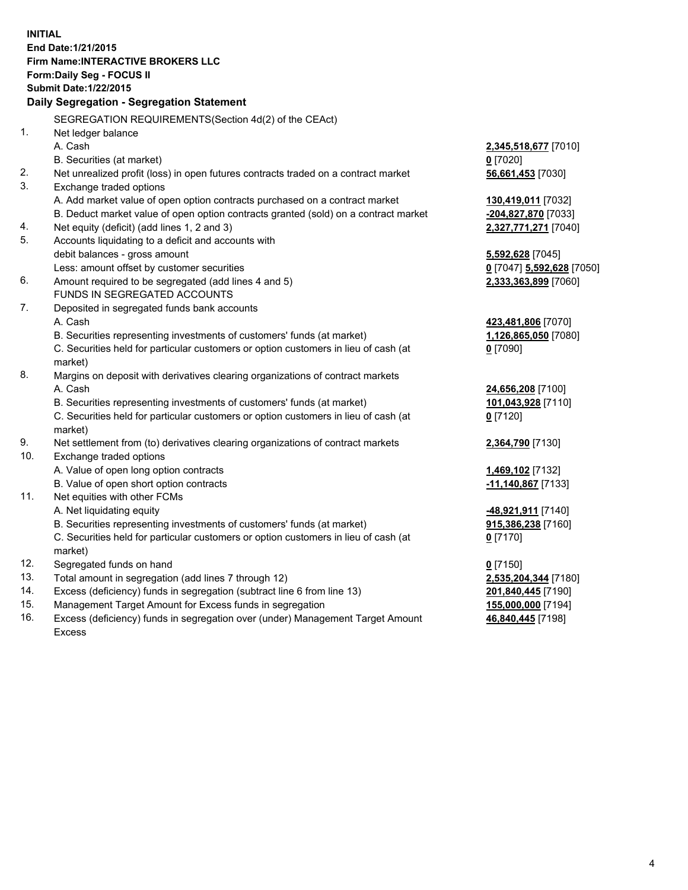**INITIAL End Date:1/21/2015 Firm Name:INTERACTIVE BROKERS LLC Form:Daily Seg - FOCUS II Submit Date:1/22/2015 Daily Segregation - Segregation Statement** SEGREGATION REQUIREMENTS(Section 4d(2) of the CEAct) 1. Net ledger balance A. Cash **2,345,518,677** [7010] B. Securities (at market) **0** [7020] 2. Net unrealized profit (loss) in open futures contracts traded on a contract market **56,661,453** [7030] 3. Exchange traded options A. Add market value of open option contracts purchased on a contract market **130,419,011** [7032] B. Deduct market value of open option contracts granted (sold) on a contract market **-204,827,870** [7033] 4. Net equity (deficit) (add lines 1, 2 and 3) **2,327,771,271** [7040] 5. Accounts liquidating to a deficit and accounts with debit balances - gross amount **5,592,628** [7045] Less: amount offset by customer securities **0** [7047] **5,592,628** [7050] 6. Amount required to be segregated (add lines 4 and 5) **2,333,363,899** [7060] FUNDS IN SEGREGATED ACCOUNTS 7. Deposited in segregated funds bank accounts A. Cash **423,481,806** [7070] B. Securities representing investments of customers' funds (at market) **1,126,865,050** [7080] C. Securities held for particular customers or option customers in lieu of cash (at market) **0** [7090] 8. Margins on deposit with derivatives clearing organizations of contract markets A. Cash **24,656,208** [7100] B. Securities representing investments of customers' funds (at market) **101,043,928** [7110] C. Securities held for particular customers or option customers in lieu of cash (at market) **0** [7120] 9. Net settlement from (to) derivatives clearing organizations of contract markets **2,364,790** [7130] 10. Exchange traded options A. Value of open long option contracts **1,469,102** [7132] B. Value of open short option contracts **-11,140,867** [7133] 11. Net equities with other FCMs A. Net liquidating equity **-48,921,911** [7140] B. Securities representing investments of customers' funds (at market) **915,386,238** [7160] C. Securities held for particular customers or option customers in lieu of cash (at market) **0** [7170] 12. Segregated funds on hand **0** [7150] 13. Total amount in segregation (add lines 7 through 12) **2,535,204,344** [7180] 14. Excess (deficiency) funds in segregation (subtract line 6 from line 13) **201,840,445** [7190] 15. Management Target Amount for Excess funds in segregation **155,000,000** [7194]

16. Excess (deficiency) funds in segregation over (under) Management Target Amount Excess

**46,840,445** [7198]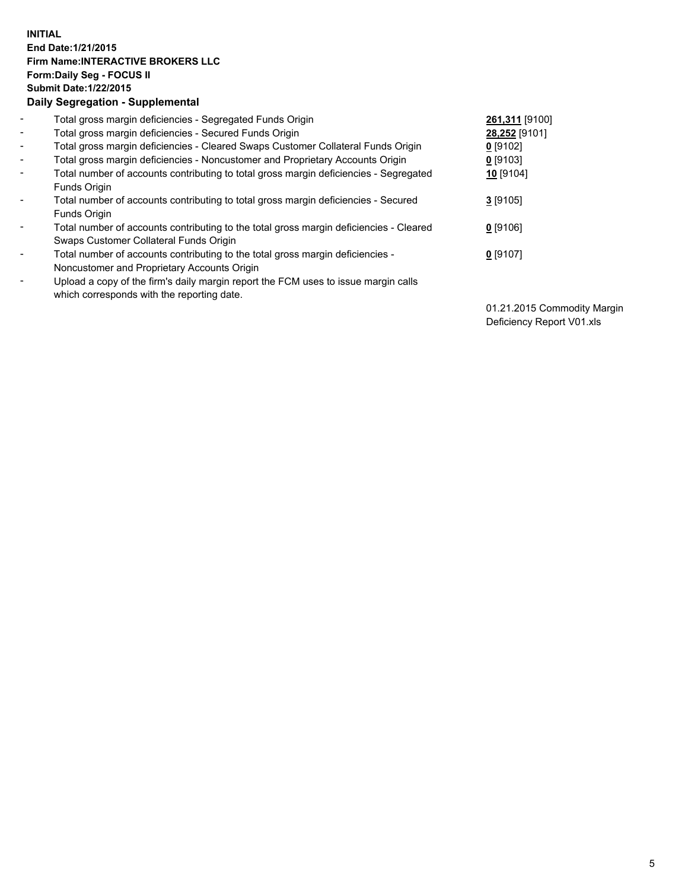## **INITIAL End Date:1/21/2015 Firm Name:INTERACTIVE BROKERS LLC Form:Daily Seg - FOCUS II Submit Date:1/22/2015 Daily Segregation - Supplemental**

| $\blacksquare$ | Total gross margin deficiencies - Segregated Funds Origin                              | 261,311 [9100] |
|----------------|----------------------------------------------------------------------------------------|----------------|
| $\blacksquare$ | Total gross margin deficiencies - Secured Funds Origin                                 | 28,252 [9101]  |
| Ξ.             | Total gross margin deficiencies - Cleared Swaps Customer Collateral Funds Origin       | $0$ [9102]     |
| $\blacksquare$ | Total gross margin deficiencies - Noncustomer and Proprietary Accounts Origin          | $0$ [9103]     |
| -              | Total number of accounts contributing to total gross margin deficiencies - Segregated  | 10 [9104]      |
|                | Funds Origin                                                                           |                |
| $\blacksquare$ | Total number of accounts contributing to total gross margin deficiencies - Secured     | $3$ [9105]     |
|                | Funds Origin                                                                           |                |
| -              | Total number of accounts contributing to the total gross margin deficiencies - Cleared | $0$ [9106]     |
|                | Swaps Customer Collateral Funds Origin                                                 |                |
|                | Total number of accounts contributing to the total gross margin deficiencies -         | $0$ [9107]     |
|                | Noncustomer and Proprietary Accounts Origin                                            |                |
| ۰              | Upload a copy of the firm's daily margin report the FCM uses to issue margin calls     |                |
|                | which corresponds with the reporting date.                                             |                |
|                |                                                                                        |                |

01.21.2015 Commodity Margin Deficiency Report V01.xls